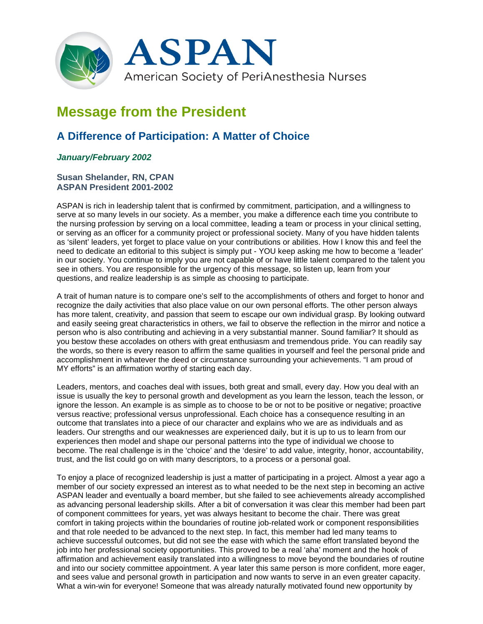

## **Message from the President**

## **A Difference of Participation: A Matter of Choice**

## *January/February 2002*

## **Susan Shelander, RN, CPAN ASPAN President 2001-2002**

ASPAN is rich in leadership talent that is confirmed by commitment, participation, and a willingness to serve at so many levels in our society. As a member, you make a difference each time you contribute to the nursing profession by serving on a local committee, leading a team or process in your clinical setting, or serving as an officer for a community project or professional society. Many of you have hidden talents as 'silent' leaders, yet forget to place value on your contributions or abilities. How I know this and feel the need to dedicate an editorial to this subject is simply put - YOU keep asking me how to become a 'leader' in our society. You continue to imply you are not capable of or have little talent compared to the talent you see in others. You are responsible for the urgency of this message, so listen up, learn from your questions, and realize leadership is as simple as choosing to participate.

A trait of human nature is to compare one's self to the accomplishments of others and forget to honor and recognize the daily activities that also place value on our own personal efforts. The other person always has more talent, creativity, and passion that seem to escape our own individual grasp. By looking outward and easily seeing great characteristics in others, we fail to observe the reflection in the mirror and notice a person who is also contributing and achieving in a very substantial manner. Sound familiar? It should as you bestow these accolades on others with great enthusiasm and tremendous pride. You can readily say the words, so there is every reason to affirm the same qualities in yourself and feel the personal pride and accomplishment in whatever the deed or circumstance surrounding your achievements. "I am proud of MY efforts" is an affirmation worthy of starting each day.

Leaders, mentors, and coaches deal with issues, both great and small, every day. How you deal with an issue is usually the key to personal growth and development as you learn the lesson, teach the lesson, or ignore the lesson. An example is as simple as to choose to be or not to be positive or negative; proactive versus reactive; professional versus unprofessional. Each choice has a consequence resulting in an outcome that translates into a piece of our character and explains who we are as individuals and as leaders. Our strengths and our weaknesses are experienced daily, but it is up to us to learn from our experiences then model and shape our personal patterns into the type of individual we choose to become. The real challenge is in the 'choice' and the 'desire' to add value, integrity, honor, accountability, trust, and the list could go on with many descriptors, to a process or a personal goal.

To enjoy a place of recognized leadership is just a matter of participating in a project. Almost a year ago a member of our society expressed an interest as to what needed to be the next step in becoming an active ASPAN leader and eventually a board member, but she failed to see achievements already accomplished as advancing personal leadership skills. After a bit of conversation it was clear this member had been part of component committees for years, yet was always hesitant to become the chair. There was great comfort in taking projects within the boundaries of routine job-related work or component responsibilities and that role needed to be advanced to the next step. In fact, this member had led many teams to achieve successful outcomes, but did not see the ease with which the same effort translated beyond the job into her professional society opportunities. This proved to be a real 'aha' moment and the hook of affirmation and achievement easily translated into a willingness to move beyond the boundaries of routine and into our society committee appointment. A year later this same person is more confident, more eager, and sees value and personal growth in participation and now wants to serve in an even greater capacity. What a win-win for everyone! Someone that was already naturally motivated found new opportunity by